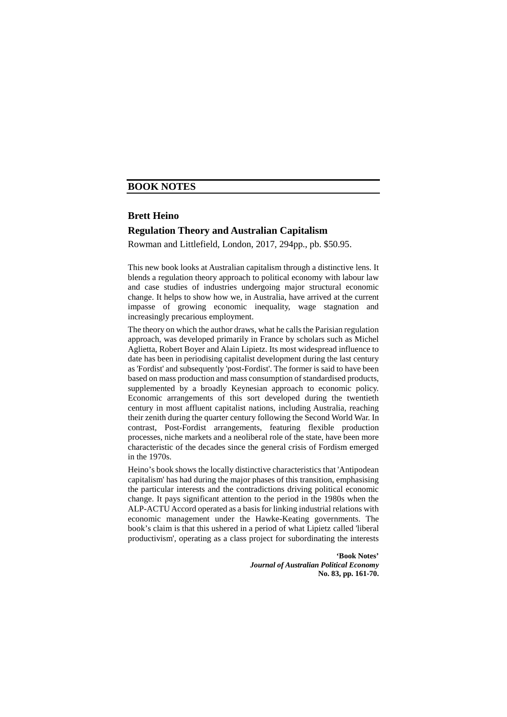## **Brett Heino**

## **Regulation Theory and Australian Capitalism**

Rowman and Littlefield, London, 2017, 294pp., pb. \$50.95.

This new book looks at Australian capitalism through a distinctive lens. It blends a regulation theory approach to political economy with labour law and case studies of industries undergoing major structural economic change. It helps to show how we, in Australia, have arrived at the current impasse of growing economic inequality, wage stagnation and increasingly precarious employment.

The theory on which the author draws, what he calls the Parisian regulation approach, was developed primarily in France by scholars such as Michel Aglietta, Robert Boyer and Alain Lipietz. Its most widespread influence to date has been in periodising capitalist development during the last century as 'Fordist' and subsequently 'post-Fordist'. The former is said to have been based on mass production and mass consumption of standardised products, supplemented by a broadly Keynesian approach to economic policy. Economic arrangements of this sort developed during the twentieth century in most affluent capitalist nations, including Australia, reaching their zenith during the quarter century following the Second World War. In contrast, Post-Fordist arrangements, featuring flexible production processes, niche markets and a neoliberal role of the state, have been more characteristic of the decades since the general crisis of Fordism emerged in the 1970s.

Heino's book shows the locally distinctive characteristics that 'Antipodean capitalism' has had during the major phases of this transition, emphasising the particular interests and the contradictions driving political economic change. It pays significant attention to the period in the 1980s when the ALP-ACTU Accord operated as a basis for linking industrial relations with economic management under the Hawke-Keating governments. The book's claim is that this ushered in a period of what Lipietz called 'liberal productivism', operating as a class project for subordinating the interests

> **'Book Notes'**  *Journal of Australian Political Economy* **No. 83, pp. 161-70.**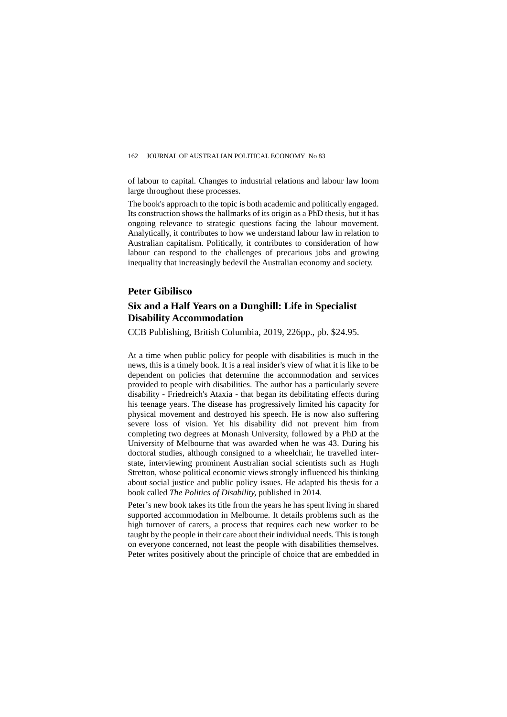of labour to capital. Changes to industrial relations and labour law loom large throughout these processes.

The book's approach to the topic is both academic and politically engaged. Its construction shows the hallmarks of its origin as a PhD thesis, but it has ongoing relevance to strategic questions facing the labour movement. Analytically, it contributes to how we understand labour law in relation to Australian capitalism. Politically, it contributes to consideration of how labour can respond to the challenges of precarious jobs and growing inequality that increasingly bedevil the Australian economy and society.

### **Peter Gibilisco**

# **Six and a Half Years on a Dunghill: Life in Specialist Disability Accommodation**

CCB Publishing, British Columbia, 2019, 226pp., pb. \$24.95.

At a time when public policy for people with disabilities is much in the news, this is a timely book. It is a real insider's view of what it is like to be dependent on policies that determine the accommodation and services provided to people with disabilities. The author has a particularly severe disability - Friedreich's Ataxia - that began its debilitating effects during his teenage years. The disease has progressively limited his capacity for physical movement and destroyed his speech. He is now also suffering severe loss of vision. Yet his disability did not prevent him from completing two degrees at Monash University, followed by a PhD at the University of Melbourne that was awarded when he was 43. During his doctoral studies, although consigned to a wheelchair, he travelled interstate, interviewing prominent Australian social scientists such as Hugh Stretton, whose political economic views strongly influenced his thinking about social justice and public policy issues. He adapted his thesis for a book called *The Politics of Disability,* published in 2014.

Peter's new book takes its title from the years he has spent living in shared supported accommodation in Melbourne. It details problems such as the high turnover of carers, a process that requires each new worker to be taught by the people in their care about their individual needs. This is tough on everyone concerned, not least the people with disabilities themselves. Peter writes positively about the principle of choice that are embedded in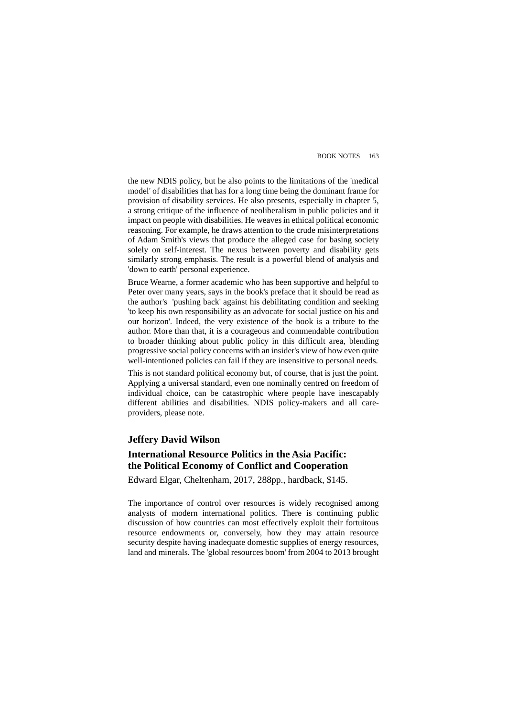the new NDIS policy, but he also points to the limitations of the 'medical model' of disabilities that has for a long time being the dominant frame for provision of disability services. He also presents, especially in chapter 5, a strong critique of the influence of neoliberalism in public policies and it impact on people with disabilities. He weaves in ethical political economic reasoning. For example, he draws attention to the crude misinterpretations of Adam Smith's views that produce the alleged case for basing society solely on self-interest. The nexus between poverty and disability gets similarly strong emphasis. The result is a powerful blend of analysis and 'down to earth' personal experience.

Bruce Wearne, a former academic who has been supportive and helpful to Peter over many years, says in the book's preface that it should be read as the author's 'pushing back' against his debilitating condition and seeking 'to keep his own responsibility as an advocate for social justice on his and our horizon'. Indeed, the very existence of the book is a tribute to the author. More than that, it is a courageous and commendable contribution to broader thinking about public policy in this difficult area, blending progressive social policy concerns with an insider's view of how even quite well-intentioned policies can fail if they are insensitive to personal needs.

This is not standard political economy but, of course, that is just the point. Applying a universal standard, even one nominally centred on freedom of individual choice, can be catastrophic where people have inescapably different abilities and disabilities. NDIS policy-makers and all careproviders, please note.

### **Jeffery David Wilson**

# **International Resource Politics in the Asia Pacific: the Political Economy of Conflict and Cooperation**

Edward Elgar, Cheltenham, 2017, 288pp., hardback, \$145.

The importance of control over resources is widely recognised among analysts of modern international politics. There is continuing public discussion of how countries can most effectively exploit their fortuitous resource endowments or, conversely, how they may attain resource security despite having inadequate domestic supplies of energy resources, land and minerals. The 'global resources boom' from 2004 to 2013 brought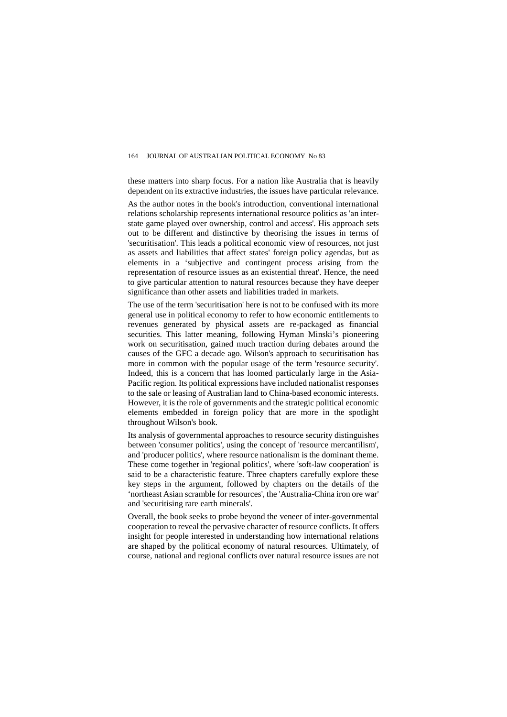these matters into sharp focus. For a nation like Australia that is heavily dependent on its extractive industries, the issues have particular relevance.

As the author notes in the book's introduction, conventional international relations scholarship represents international resource politics as 'an interstate game played over ownership, control and access'. His approach sets out to be different and distinctive by theorising the issues in terms of 'securitisation'. This leads a political economic view of resources, not just as assets and liabilities that affect states' foreign policy agendas, but as elements in a 'subjective and contingent process arising from the representation of resource issues as an existential threat'. Hence, the need to give particular attention to natural resources because they have deeper significance than other assets and liabilities traded in markets.

The use of the term 'securitisation' here is not to be confused with its more general use in political economy to refer to how economic entitlements to revenues generated by physical assets are re-packaged as financial securities. This latter meaning, following Hyman Minski's pioneering work on securitisation, gained much traction during debates around the causes of the GFC a decade ago. Wilson's approach to securitisation has more in common with the popular usage of the term 'resource security'. Indeed, this is a concern that has loomed particularly large in the Asia-Pacific region. Its political expressions have included nationalist responses to the sale or leasing of Australian land to China-based economic interests. However, it is the role of governments and the strategic political economic elements embedded in foreign policy that are more in the spotlight throughout Wilson's book.

Its analysis of governmental approaches to resource security distinguishes between 'consumer politics', using the concept of 'resource mercantilism', and 'producer politics', where resource nationalism is the dominant theme. These come together in 'regional politics', where 'soft-law cooperation' is said to be a characteristic feature. Three chapters carefully explore these key steps in the argument, followed by chapters on the details of the 'northeast Asian scramble for resources', the 'Australia-China iron ore war' and 'securitising rare earth minerals'.

Overall, the book seeks to probe beyond the veneer of inter-governmental cooperation to reveal the pervasive character of resource conflicts. It offers insight for people interested in understanding how international relations are shaped by the political economy of natural resources. Ultimately, of course, national and regional conflicts over natural resource issues are not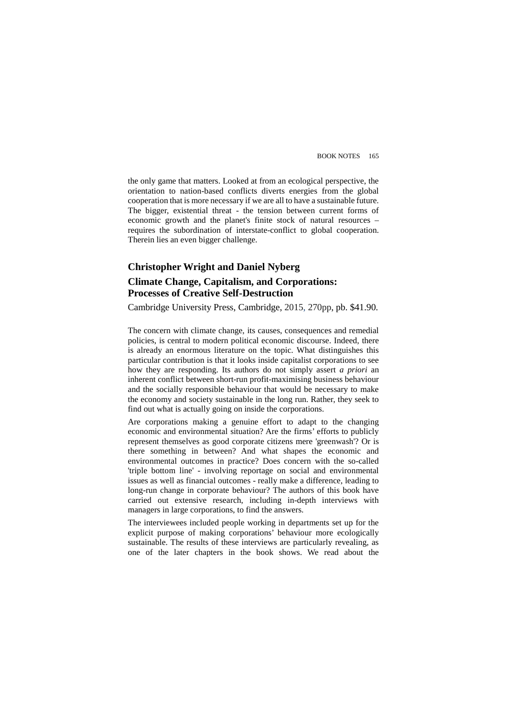the only game that matters. Looked at from an ecological perspective, the orientation to nation-based conflicts diverts energies from the global cooperation that is more necessary if we are all to have a sustainable future. The bigger, existential threat - the tension between current forms of economic growth and the planet's finite stock of natural resources – requires the subordination of interstate-conflict to global cooperation. Therein lies an even bigger challenge.

# **Christopher Wright and Daniel Nyberg Climate Change, Capitalism, and Corporations: Processes of Creative Self-Destruction**

Cambridge University Press, Cambridge, 2015, 270pp, pb. \$41.90.

The concern with climate change, its causes, consequences and remedial policies, is central to modern political economic discourse. Indeed, there is already an enormous literature on the topic. What distinguishes this particular contribution is that it looks inside capitalist corporations to see how they are responding. Its authors do not simply assert *a priori* an inherent conflict between short-run profit-maximising business behaviour and the socially responsible behaviour that would be necessary to make the economy and society sustainable in the long run. Rather, they seek to find out what is actually going on inside the corporations.

Are corporations making a genuine effort to adapt to the changing economic and environmental situation? Are the firms' efforts to publicly represent themselves as good corporate citizens mere 'greenwash'? Or is there something in between? And what shapes the economic and environmental outcomes in practice? Does concern with the so-called 'triple bottom line' - involving reportage on social and environmental issues as well as financial outcomes - really make a difference, leading to long-run change in corporate behaviour? The authors of this book have carried out extensive research, including in-depth interviews with managers in large corporations, to find the answers.

The interviewees included people working in departments set up for the explicit purpose of making corporations' behaviour more ecologically sustainable. The results of these interviews are particularly revealing, as one of the later chapters in the book shows. We read about the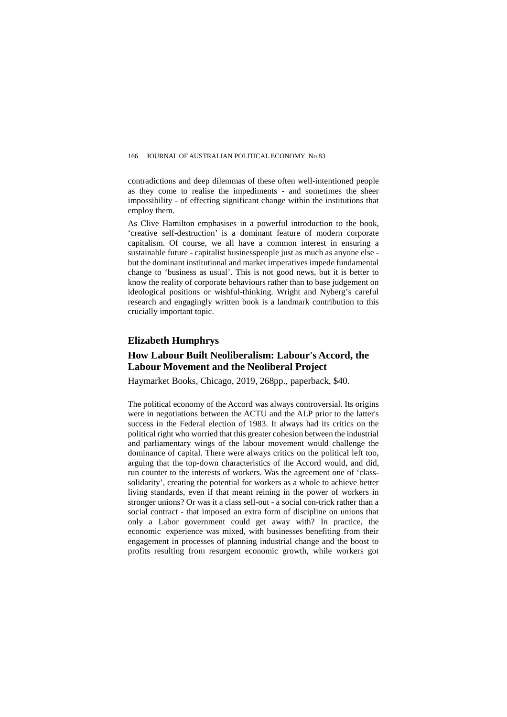contradictions and deep dilemmas of these often well-intentioned people as they come to realise the impediments - and sometimes the sheer impossibility - of effecting significant change within the institutions that employ them.

As Clive Hamilton emphasises in a powerful introduction to the book, 'creative self-destruction' is a dominant feature of modern corporate capitalism. Of course, we all have a common interest in ensuring a sustainable future - capitalist businesspeople just as much as anyone else but the dominant institutional and market imperatives impede fundamental change to 'business as usual'. This is not good news, but it is better to know the reality of corporate behaviours rather than to base judgement on ideological positions or wishful-thinking. Wright and Nyberg's careful research and engagingly written book is a landmark contribution to this crucially important topic.

## **Elizabeth Humphrys**

## **How Labour Built Neoliberalism: Labour's Accord, the Labour Movement and the Neoliberal Project**

Haymarket Books, Chicago, 2019, 268pp., paperback, \$40.

The political economy of the Accord was always controversial. Its origins were in negotiations between the ACTU and the ALP prior to the latter's success in the Federal election of 1983. It always had its critics on the political right who worried that this greater cohesion between the industrial and parliamentary wings of the labour movement would challenge the dominance of capital. There were always critics on the political left too, arguing that the top-down characteristics of the Accord would, and did, run counter to the interests of workers. Was the agreement one of 'classsolidarity', creating the potential for workers as a whole to achieve better living standards, even if that meant reining in the power of workers in stronger unions? Or was it a class sell-out - a social con-trick rather than a social contract - that imposed an extra form of discipline on unions that only a Labor government could get away with? In practice, the economic experience was mixed, with businesses benefiting from their engagement in processes of planning industrial change and the boost to profits resulting from resurgent economic growth, while workers got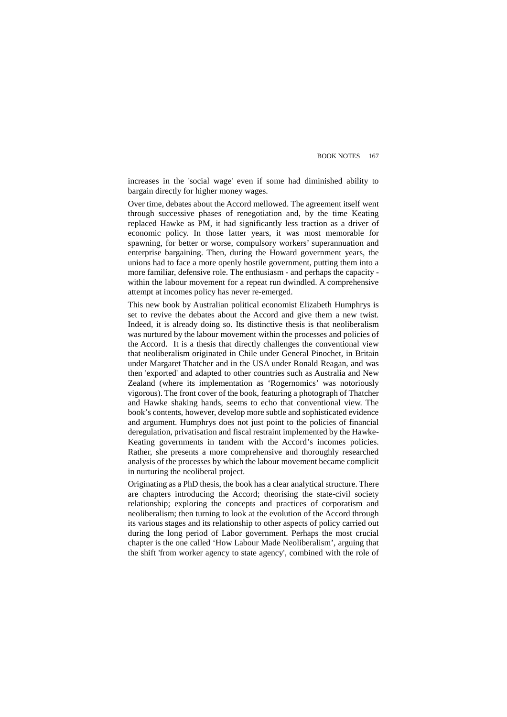increases in the 'social wage' even if some had diminished ability to bargain directly for higher money wages.

Over time, debates about the Accord mellowed. The agreement itself went through successive phases of renegotiation and, by the time Keating replaced Hawke as PM, it had significantly less traction as a driver of economic policy. In those latter years, it was most memorable for spawning, for better or worse, compulsory workers' superannuation and enterprise bargaining. Then, during the Howard government years, the unions had to face a more openly hostile government, putting them into a more familiar, defensive role. The enthusiasm - and perhaps the capacity within the labour movement for a repeat run dwindled. A comprehensive attempt at incomes policy has never re-emerged.

This new book by Australian political economist Elizabeth Humphrys is set to revive the debates about the Accord and give them a new twist. Indeed, it is already doing so. Its distinctive thesis is that neoliberalism was nurtured by the labour movement within the processes and policies of the Accord. It is a thesis that directly challenges the conventional view that neoliberalism originated in Chile under General Pinochet, in Britain under Margaret Thatcher and in the USA under Ronald Reagan, and was then 'exported' and adapted to other countries such as Australia and New Zealand (where its implementation as 'Rogernomics' was notoriously vigorous). The front cover of the book, featuring a photograph of Thatcher and Hawke shaking hands, seems to echo that conventional view. The book's contents, however, develop more subtle and sophisticated evidence and argument. Humphrys does not just point to the policies of financial deregulation, privatisation and fiscal restraint implemented by the Hawke-Keating governments in tandem with the Accord's incomes policies. Rather, she presents a more comprehensive and thoroughly researched analysis of the processes by which the labour movement became complicit in nurturing the neoliberal project.

Originating as a PhD thesis, the book has a clear analytical structure. There are chapters introducing the Accord; theorising the state-civil society relationship; exploring the concepts and practices of corporatism and neoliberalism; then turning to look at the evolution of the Accord through its various stages and its relationship to other aspects of policy carried out during the long period of Labor government. Perhaps the most crucial chapter is the one called 'How Labour Made Neoliberalism', arguing that the shift 'from worker agency to state agency', combined with the role of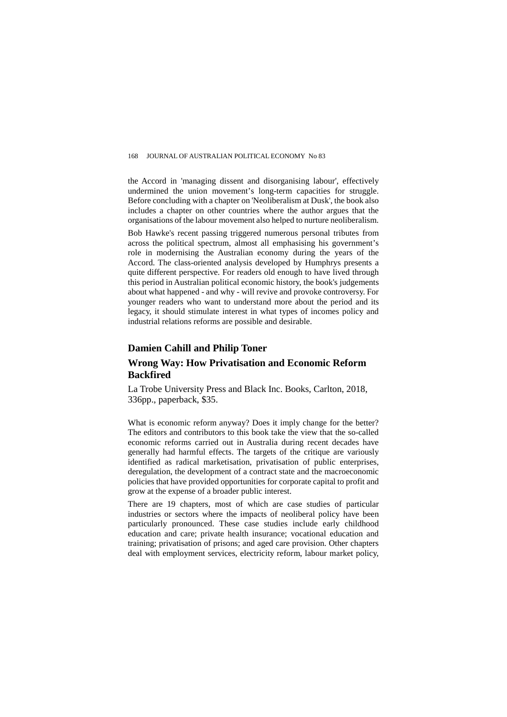the Accord in 'managing dissent and disorganising labour', effectively undermined the union movement's long-term capacities for struggle. Before concluding with a chapter on 'Neoliberalism at Dusk', the book also includes a chapter on other countries where the author argues that the organisations of the labour movement also helped to nurture neoliberalism.

Bob Hawke's recent passing triggered numerous personal tributes from across the political spectrum, almost all emphasising his government's role in modernising the Australian economy during the years of the Accord. The class-oriented analysis developed by Humphrys presents a quite different perspective. For readers old enough to have lived through this period in Australian political economic history, the book's judgements about what happened - and why - will revive and provoke controversy. For younger readers who want to understand more about the period and its legacy, it should stimulate interest in what types of incomes policy and industrial relations reforms are possible and desirable.

### **Damien Cahill and Philip Toner**

## **Wrong Way: How Privatisation and Economic Reform Backfired**

La Trobe University Press and Black Inc. Books, Carlton, 2018, 336pp., paperback, \$35.

What is economic reform anyway? Does it imply change for the better? The editors and contributors to this book take the view that the so-called economic reforms carried out in Australia during recent decades have generally had harmful effects. The targets of the critique are variously identified as radical marketisation, privatisation of public enterprises, deregulation, the development of a contract state and the macroeconomic policies that have provided opportunities for corporate capital to profit and grow at the expense of a broader public interest.

There are 19 chapters, most of which are case studies of particular industries or sectors where the impacts of neoliberal policy have been particularly pronounced. These case studies include early childhood education and care; private health insurance; vocational education and training; privatisation of prisons; and aged care provision. Other chapters deal with employment services, electricity reform, labour market policy,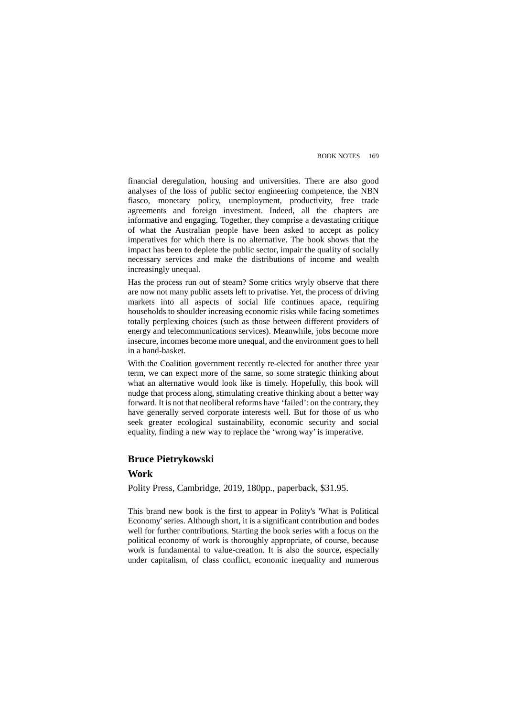financial deregulation, housing and universities. There are also good analyses of the loss of public sector engineering competence, the NBN fiasco, monetary policy, unemployment, productivity, free trade agreements and foreign investment. Indeed, all the chapters are informative and engaging. Together, they comprise a devastating critique of what the Australian people have been asked to accept as policy imperatives for which there is no alternative. The book shows that the impact has been to deplete the public sector, impair the quality of socially necessary services and make the distributions of income and wealth increasingly unequal.

Has the process run out of steam? Some critics wryly observe that there are now not many public assets left to privatise. Yet, the process of driving markets into all aspects of social life continues apace, requiring households to shoulder increasing economic risks while facing sometimes totally perplexing choices (such as those between different providers of energy and telecommunications services). Meanwhile, jobs become more insecure, incomes become more unequal, and the environment goes to hell in a hand-basket.

With the Coalition government recently re-elected for another three year term, we can expect more of the same, so some strategic thinking about what an alternative would look like is timely. Hopefully, this book will nudge that process along, stimulating creative thinking about a better way forward. It is not that neoliberal reforms have 'failed': on the contrary, they have generally served corporate interests well. But for those of us who seek greater ecological sustainability, economic security and social equality, finding a new way to replace the 'wrong way' is imperative.

### **Bruce Pietrykowski**

### **Work**

Polity Press, Cambridge, 2019, 180pp., paperback, \$31.95.

This brand new book is the first to appear in Polity's 'What is Political Economy' series. Although short, it is a significant contribution and bodes well for further contributions. Starting the book series with a focus on the political economy of work is thoroughly appropriate, of course, because work is fundamental to value-creation. It is also the source, especially under capitalism, of class conflict, economic inequality and numerous